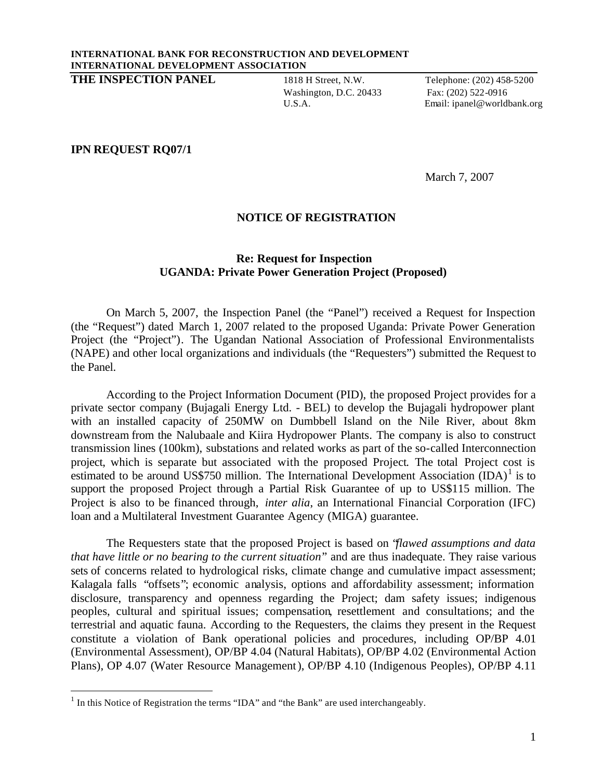## **INTERNATIONAL BANK FOR RECONSTRUCTION AND DEVELOPMENT INTERNATIONAL DEVELOPMENT ASSOCIATION**

**THE INSPECTION PANEL** 1818 H Street, N.W. Telephone: (202) 458-5200

Washington, D.C. 20433 Fax: (202) 522-0916

U.S.A. Email: ipanel@worldbank.org

## **IPN REQUEST RQ07/1**

l

March 7, 2007

## **NOTICE OF REGISTRATION**

## **Re: Request for Inspection UGANDA: Private Power Generation Project (Proposed)**

On March 5, 2007, the Inspection Panel (the "Panel") received a Request for Inspection (the "Request") dated March 1, 2007 related to the proposed Uganda: Private Power Generation Project (the "Project"). The Ugandan National Association of Professional Environmentalists (NAPE) and other local organizations and individuals (the "Requesters") submitted the Request to the Panel.

According to the Project Information Document (PID), the proposed Project provides for a private sector company (Bujagali Energy Ltd. - BEL) to develop the Bujagali hydropower plant with an installed capacity of 250MW on Dumbbell Island on the Nile River, about 8km downstream from the Nalubaale and Kiira Hydropower Plants. The company is also to construct transmission lines (100km), substations and related works as part of the so-called Interconnection project, which is separate but associated with the proposed Project. The total Project cost is estimated to be around US\$750 million. The International Development Association  $\text{(IDA)}^1$  is to support the proposed Project through a Partial Risk Guarantee of up to US\$115 million. The Project is also to be financed through, *inter alia*, an International Financial Corporation (IFC) loan and a Multilateral Investment Guarantee Agency (MIGA) guarantee.

The Requesters state that the proposed Project is based on "*flawed assumptions and data that have little or no bearing to the current situation*" and are thus inadequate. They raise various sets of concerns related to hydrological risks, climate change and cumulative impact assessment; Kalagala falls "offsets"; economic analysis, options and affordability assessment; information disclosure, transparency and openness regarding the Project; dam safety issues; indigenous peoples, cultural and spiritual issues; compensation, resettlement and consultations; and the terrestrial and aquatic fauna. According to the Requesters, the claims they present in the Request constitute a violation of Bank operational policies and procedures, including OP/BP 4.01 (Environmental Assessment), OP/BP 4.04 (Natural Habitats), OP/BP 4.02 (Environmental Action Plans), OP 4.07 (Water Resource Management), OP/BP 4.10 (Indigenous Peoples), OP/BP 4.11

 $<sup>1</sup>$  In this Notice of Registration the terms "IDA" and "the Bank" are used interchangeably.</sup>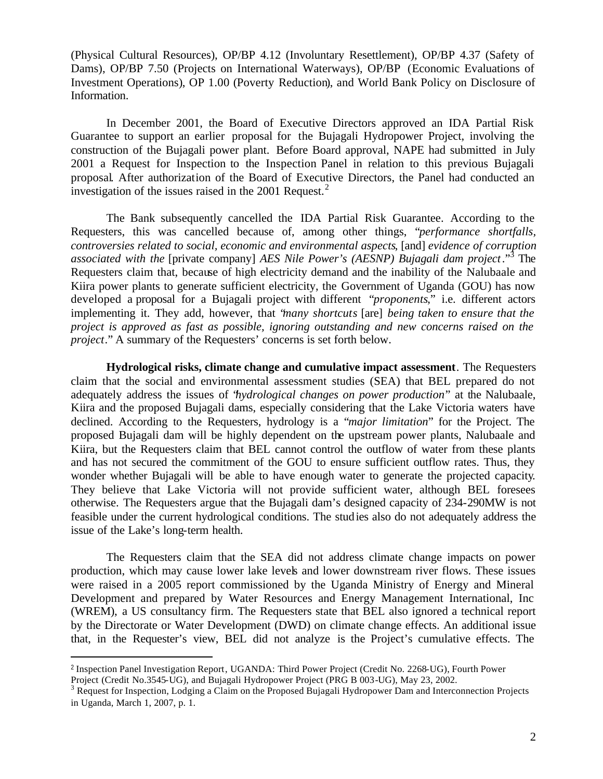(Physical Cultural Resources), OP/BP 4.12 (Involuntary Resettlement), OP/BP 4.37 (Safety of Dams), OP/BP 7.50 (Projects on International Waterways), OP/BP (Economic Evaluations of Investment Operations), OP 1.00 (Poverty Reduction), and World Bank Policy on Disclosure of Information.

In December 2001, the Board of Executive Directors approved an IDA Partial Risk Guarantee to support an earlier proposal for the Bujagali Hydropower Project, involving the construction of the Bujagali power plant. Before Board approval, NAPE had submitted in July 2001 a Request for Inspection to the Inspection Panel in relation to this previous Bujagali proposal. After authorization of the Board of Executive Directors, the Panel had conducted an investigation of the issues raised in the 2001 Request.<sup>2</sup>

The Bank subsequently cancelled the IDA Partial Risk Guarantee. According to the Requesters, this was cancelled because of, among other things, "*performance shortfalls, controversies related to social, economic and environmental aspects*, [and] *evidence of corruption associated with the* [private company] *AES Nile Power's (AESNP) Bujagali dam project*."<sup>3</sup> The Requesters claim that, because of high electricity demand and the inability of the Nalubaale and Kiira power plants to generate sufficient electricity, the Government of Uganda (GOU) has now developed a proposal for a Bujagali project with different "*proponents*," i.e. different actors implementing it. They add, however, that "*many shortcuts* [are] *being taken to ensure that the project is approved as fast as possible, ignoring outstanding and new concerns raised on the project*." A summary of the Requesters' concerns is set forth below.

**Hydrological risks, climate change and cumulative impact assessment**. The Requesters claim that the social and environmental assessment studies (SEA) that BEL prepared do not adequately address the issues of "*hydrological changes on power production*" at the Nalubaale, Kiira and the proposed Bujagali dams, especially considering that the Lake Victoria waters have declined. According to the Requesters, hydrology is a "*major limitation*" for the Project. The proposed Bujagali dam will be highly dependent on the upstream power plants, Nalubaale and Kiira, but the Requesters claim that BEL cannot control the outflow of water from these plants and has not secured the commitment of the GOU to ensure sufficient outflow rates. Thus, they wonder whether Bujagali will be able to have enough water to generate the projected capacity. They believe that Lake Victoria will not provide sufficient water, although BEL foresees otherwise. The Requesters argue that the Bujagali dam's designed capacity of 234-290MW is not feasible under the current hydrological conditions. The studies also do not adequately address the issue of the Lake's long-term health.

The Requesters claim that the SEA did not address climate change impacts on power production, which may cause lower lake levels and lower downstream river flows. These issues were raised in a 2005 report commissioned by the Uganda Ministry of Energy and Mineral Development and prepared by Water Resources and Energy Management International, Inc (WREM), a US consultancy firm. The Requesters state that BEL also ignored a technical report by the Directorate or Water Development (DWD) on climate change effects. An additional issue that, in the Requester's view, BEL did not analyze is the Project's cumulative effects. The

l

<sup>2</sup> Inspection Panel Investigation Report, UGANDA: Third Power Project (Credit No. 2268-UG), Fourth Power Project (Credit No.3545-UG), and Bujagali Hydropower Project (PRG B 003-UG), May 23, 2002.

<sup>&</sup>lt;sup>3</sup> Request for Inspection, Lodging a Claim on the Proposed Bujagali Hydropower Dam and Interconnection Projects in Uganda, March 1, 2007, p. 1.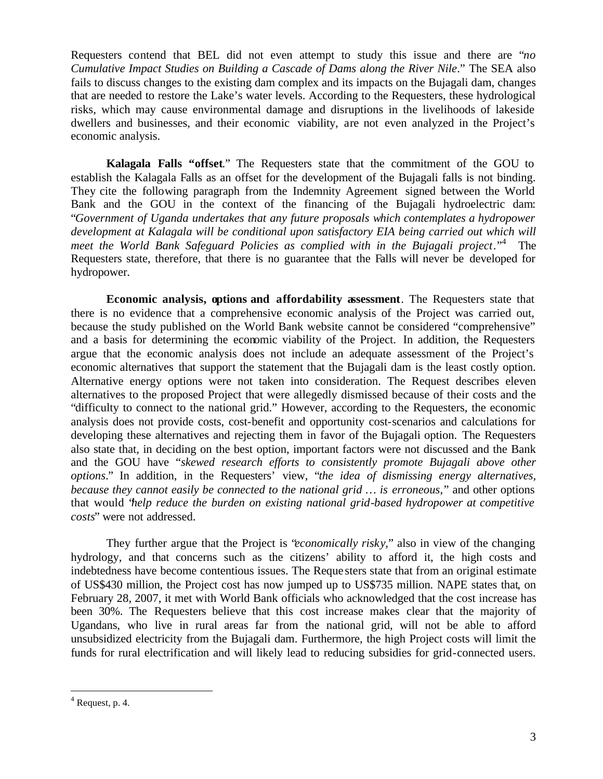Requesters contend that BEL did not even attempt to study this issue and there are "*no Cumulative Impact Studies on Building a Cascade of Dams along the River Nile*." The SEA also fails to discuss changes to the existing dam complex and its impacts on the Bujagali dam, changes that are needed to restore the Lake's water levels. According to the Requesters, these hydrological risks, which may cause environmental damage and disruptions in the livelihoods of lakeside dwellers and businesses, and their economic viability, are not even analyzed in the Project's economic analysis.

**Kalagala Falls "offset**." The Requesters state that the commitment of the GOU to establish the Kalagala Falls as an offset for the development of the Bujagali falls is not binding. They cite the following paragraph from the Indemnity Agreement signed between the World Bank and the GOU in the context of the financing of the Bujagali hydroelectric dam: "*Government of Uganda undertakes that any future proposals which contemplates a hydropower development at Kalagala will be conditional upon satisfactory EIA being carried out which will meet the World Bank Safeguard Policies as complied with in the Bujagali project*."<sup>4</sup> The Requesters state, therefore, that there is no guarantee that the Falls will never be developed for hydropower.

**Economic analysis, options and affordability assessment**. The Requesters state that there is no evidence that a comprehensive economic analysis of the Project was carried out, because the study published on the World Bank website cannot be considered "comprehensive" and a basis for determining the economic viability of the Project. In addition, the Requesters argue that the economic analysis does not include an adequate assessment of the Project's economic alternatives that support the statement that the Bujagali dam is the least costly option. Alternative energy options were not taken into consideration. The Request describes eleven alternatives to the proposed Project that were allegedly dismissed because of their costs and the "difficulty to connect to the national grid." However, according to the Requesters, the economic analysis does not provide costs, cost-benefit and opportunity cost-scenarios and calculations for developing these alternatives and rejecting them in favor of the Bujagali option. The Requesters also state that, in deciding on the best option, important factors were not discussed and the Bank and the GOU have "*skewed research efforts to consistently promote Bujagali above other options*." In addition, in the Requesters' view, "*the idea of dismissing energy alternatives, because they cannot easily be connected to the national grid … is erroneous*," and other options that would "*help reduce the burden on existing national grid-based hydropower at competitive costs*" were not addressed.

They further argue that the Project is "*economically risky,*" also in view of the changing hydrology, and that concerns such as the citizens' ability to afford it, the high costs and indebtedness have become contentious issues. The Reque sters state that from an original estimate of US\$430 million, the Project cost has now jumped up to US\$735 million. NAPE states that, on February 28, 2007, it met with World Bank officials who acknowledged that the cost increase has been 30%. The Requesters believe that this cost increase makes clear that the majority of Ugandans, who live in rural areas far from the national grid, will not be able to afford unsubsidized electricity from the Bujagali dam. Furthermore, the high Project costs will limit the funds for rural electrification and will likely lead to reducing subsidies for grid-connected users.

l

 $4$  Request, p. 4.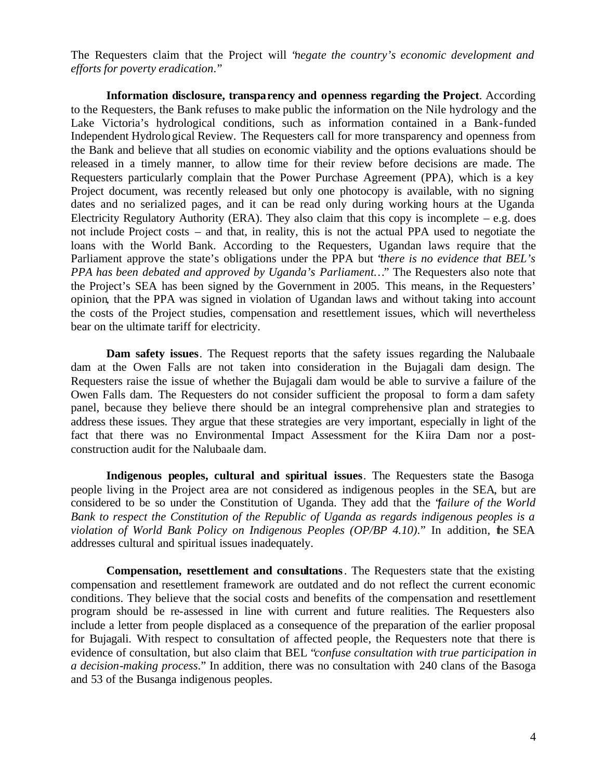The Requesters claim that the Project will "*negate the country's economic development and efforts for poverty eradication*."

**Information disclosure, transparency and openness regarding the Project**. According to the Requesters, the Bank refuses to make public the information on the Nile hydrology and the Lake Victoria's hydrological conditions, such as information contained in a Bank-funded Independent Hydrological Review. The Requesters call for more transparency and openness from the Bank and believe that all studies on economic viability and the options evaluations should be released in a timely manner, to allow time for their review before decisions are made. The Requesters particularly complain that the Power Purchase Agreement (PPA), which is a key Project document, was recently released but only one photocopy is available, with no signing dates and no serialized pages, and it can be read only during working hours at the Uganda Electricity Regulatory Authority (ERA). They also claim that this copy is incomplete – e.g. does not include Project costs – and that, in reality, this is not the actual PPA used to negotiate the loans with the World Bank. According to the Requesters, Ugandan laws require that the Parliament approve the state's obligations under the PPA but "*there is no evidence that BEL's PPA has been debated and approved by Uganda's Parliament…*" The Requesters also note that the Project's SEA has been signed by the Government in 2005. This means, in the Requesters' opinion, that the PPA was signed in violation of Ugandan laws and without taking into account the costs of the Project studies, compensation and resettlement issues, which will nevertheless bear on the ultimate tariff for electricity.

**Dam safety issues**. The Request reports that the safety issues regarding the Nalubaale dam at the Owen Falls are not taken into consideration in the Bujagali dam design. The Requesters raise the issue of whether the Bujagali dam would be able to survive a failure of the Owen Falls dam. The Requesters do not consider sufficient the proposal to form a dam safety panel, because they believe there should be an integral comprehensive plan and strategies to address these issues. They argue that these strategies are very important, especially in light of the fact that there was no Environmental Impact Assessment for the Kiira Dam nor a postconstruction audit for the Nalubaale dam.

**Indigenous peoples, cultural and spiritual issues**. The Requesters state the Basoga people living in the Project area are not considered as indigenous peoples in the SEA, but are considered to be so under the Constitution of Uganda. They add that the "*failure of the World Bank to respect the Constitution of the Republic of Uganda as regards indigenous peoples is a violation of World Bank Policy on Indigenous Peoples (OP/BP 4.10)*." In addition, the SEA addresses cultural and spiritual issues inadequately.

**Compensation, resettlement and consultations**. The Requesters state that the existing compensation and resettlement framework are outdated and do not reflect the current economic conditions. They believe that the social costs and benefits of the compensation and resettlement program should be re-assessed in line with current and future realities. The Requesters also include a letter from people displaced as a consequence of the preparation of the earlier proposal for Bujagali. With respect to consultation of affected people, the Requesters note that there is evidence of consultation, but also claim that BEL "*confuse consultation with true participation in a decision-making process*." In addition, there was no consultation with 240 clans of the Basoga and 53 of the Busanga indigenous peoples.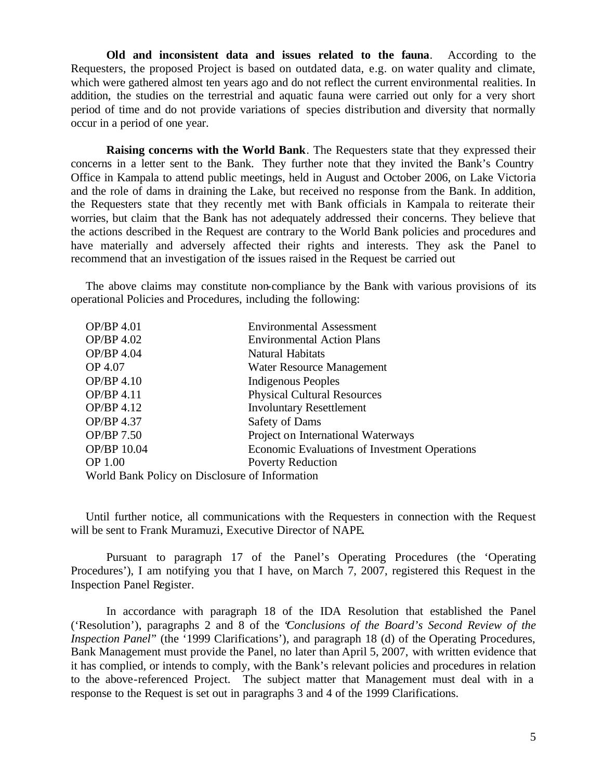**Old and inconsistent data and issues related to the fauna**. According to the Requesters, the proposed Project is based on outdated data, e.g. on water quality and climate, which were gathered almost ten years ago and do not reflect the current environmental realities. In addition, the studies on the terrestrial and aquatic fauna were carried out only for a very short period of time and do not provide variations of species distribution and diversity that normally occur in a period of one year.

**Raising concerns with the World Bank**. The Requesters state that they expressed their concerns in a letter sent to the Bank. They further note that they invited the Bank's Country Office in Kampala to attend public meetings, held in August and October 2006, on Lake Victoria and the role of dams in draining the Lake, but received no response from the Bank. In addition, the Requesters state that they recently met with Bank officials in Kampala to reiterate their worries, but claim that the Bank has not adequately addressed their concerns. They believe that the actions described in the Request are contrary to the World Bank policies and procedures and have materially and adversely affected their rights and interests. They ask the Panel to recommend that an investigation of the issues raised in the Request be carried out

The above claims may constitute non-compliance by the Bank with various provisions of its operational Policies and Procedures, including the following:

| OP/BP 4.01                                     | <b>Environmental Assessment</b>               |
|------------------------------------------------|-----------------------------------------------|
| OP/BP 4.02                                     | <b>Environmental Action Plans</b>             |
| OP/BP 4.04                                     | Natural Habitats                              |
| OP 4.07                                        | Water Resource Management                     |
| OP/BP 4.10                                     | Indigenous Peoples                            |
| OP/BP 4.11                                     | <b>Physical Cultural Resources</b>            |
| OP/BP 4.12                                     | <b>Involuntary Resettlement</b>               |
| OP/BP 4.37                                     | Safety of Dams                                |
| OP/BP 7.50                                     | Project on International Waterways            |
| OP/BP 10.04                                    | Economic Evaluations of Investment Operations |
| OP 1.00                                        | <b>Poverty Reduction</b>                      |
| World Bank Policy on Disclosure of Information |                                               |

Until further notice, all communications with the Requesters in connection with the Request will be sent to Frank Muramuzi, Executive Director of NAPE.

Pursuant to paragraph 17 of the Panel's Operating Procedures (the 'Operating Procedures'), I am notifying you that I have, on March 7, 2007, registered this Request in the Inspection Panel Register.

In accordance with paragraph 18 of the IDA Resolution that established the Panel ('Resolution'), paragraphs 2 and 8 of the "*Conclusions of the Board's Second Review of the Inspection Panel*" (the '1999 Clarifications'), and paragraph 18 (d) of the Operating Procedures, Bank Management must provide the Panel, no later than April 5, 2007, with written evidence that it has complied, or intends to comply, with the Bank's relevant policies and procedures in relation to the above-referenced Project. The subject matter that Management must deal with in a response to the Request is set out in paragraphs 3 and 4 of the 1999 Clarifications.